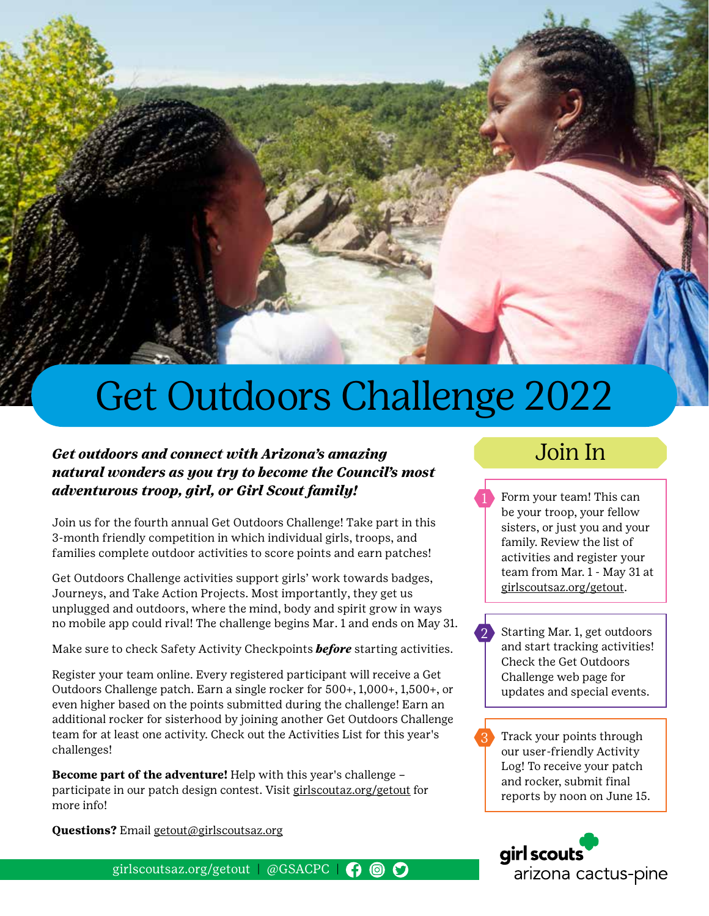

## Get Outdoors Challenge 2022

#### *Get outdoors and connect with Arizona's amazing natural wonders as you try to become the Council's most adventurous troop, girl, or Girl Scout family!*

Join us for the fourth annual Get Outdoors Challenge! Take part in this 3-month friendly competition in which individual girls, troops, and families complete outdoor activities to score points and earn patches!

Get Outdoors Challenge activities support girls' work towards badges, Journeys, and Take Action Projects. Most importantly, they get us unplugged and outdoors, where the mind, body and spirit grow in ways no mobile app could rival! The challenge begins Mar. 1 and ends on May 31.

Make sure to check Safety Activity Checkpoints *before* starting activities.

Register your team online. Every registered participant will receive a Get Outdoors Challenge patch. Earn a single rocker for 500+, 1,000+, 1,500+, or even higher based on the points submitted during the challenge! Earn an additional rocker for sisterhood by joining another Get Outdoors Challenge team for at least one activity. Check out the Activities List for this year's challenges!

**Become part of the adventure!** Help with this year's challenge – participate in our patch design contest. Visit girlscoutaz.org/getout for more info!

**Questions?** Email getout@girlscoutsaz.org

girlscoutsaz.org/getout | @GSACPC |  $\bigcirc$  ©  $\bigcirc$ 

### Join In

Form your team! This can be your troop, your fellow sisters, or just you and your family. Review the list of activities and register your team from Mar. 1 - May 31 at girlscoutsaz.org/getout.

Starting Mar. 1, get outdoors and start tracking activities! Check the Get Outdoors Challenge web page for updates and special events.

2

3

Track your points through our user-friendly Activity Log! To receive your patch and rocker, submit final reports by noon on June 15.